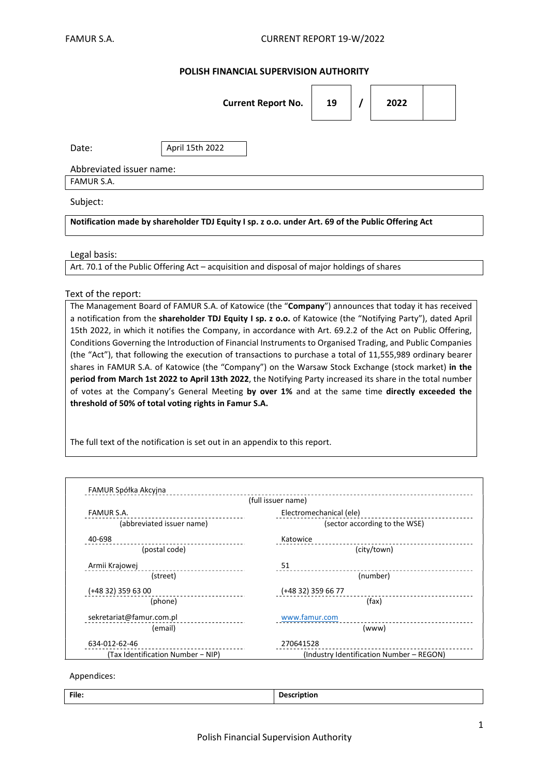# POLISH FINANCIAL SUPERVISION AUTHORITY

|                          | <b>Current Report No.</b> | 19 |  | 2022 |  |  |  |  |
|--------------------------|---------------------------|----|--|------|--|--|--|--|
| Date:                    | April 15th 2022           |    |  |      |  |  |  |  |
| Abbreviated issuer name: |                           |    |  |      |  |  |  |  |
| FAMUR S.A.               |                           |    |  |      |  |  |  |  |
| Subject:                 |                           |    |  |      |  |  |  |  |

Notification made by shareholder TDJ Equity I sp. z o.o. under Art. 69 of the Public Offering Act

#### Legal basis:

Art. 70.1 of the Public Offering Act – acquisition and disposal of major holdings of shares

### Text of the report:

The Management Board of FAMUR S.A. of Katowice (the "Company") announces that today it has received a notification from the shareholder TDJ Equity I sp. z o.o. of Katowice (the "Notifying Party"), dated April 15th 2022, in which it notifies the Company, in accordance with Art. 69.2.2 of the Act on Public Offering, Conditions Governing the Introduction of Financial Instruments to Organised Trading, and Public Companies (the "Act"), that following the execution of transactions to purchase a total of 11,555,989 ordinary bearer shares in FAMUR S.A. of Katowice (the "Company") on the Warsaw Stock Exchange (stock market) in the period from March 1st 2022 to April 13th 2022, the Notifying Party increased its share in the total number of votes at the Company's General Meeting by over 1% and at the same time directly exceeded the threshold of 50% of total voting rights in Famur S.A.

The full text of the notification is set out in an appendix to this report.

|                                   | (full issuer name)                       |  |  |
|-----------------------------------|------------------------------------------|--|--|
| <b>FAMUR S.A.</b>                 | Electromechanical (ele)                  |  |  |
| (abbreviated issuer name)         | (sector according to the WSE)            |  |  |
| 40-698                            | Katowice                                 |  |  |
| (postal code)                     | (city/town)                              |  |  |
| Armii Krajowej                    | 51                                       |  |  |
| (street)                          | (number)                                 |  |  |
| (+48 32) 359 63 00                | (+48 32) 359 66 77                       |  |  |
| (phone)                           | (fax)                                    |  |  |
| sekretariat@famur.com.pl          | www.famur.com                            |  |  |
| (email)                           | (www)                                    |  |  |
| 634-012-62-46                     | 270641528                                |  |  |
| (Tax Identification Number - NIP) | (Industry Identification Number - REGON) |  |  |

#### Appendices:

| File. | $-$<br>י בו<br>uon<br>_ |
|-------|-------------------------|
|       |                         |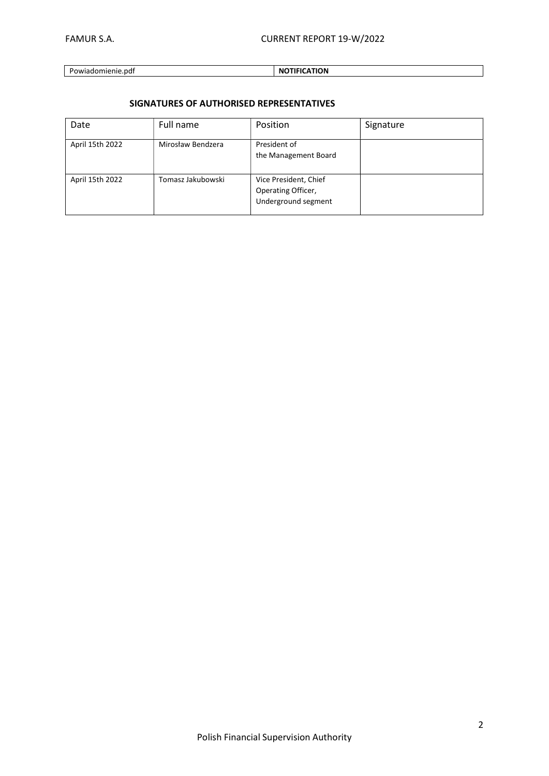## Powiadomienie.pdf NOTIFICATION

# SIGNATURES OF AUTHORISED REPRESENTATIVES

| Date            | Full name         | Position                                                           | Signature |
|-----------------|-------------------|--------------------------------------------------------------------|-----------|
| April 15th 2022 | Mirosław Bendzera | President of<br>the Management Board                               |           |
| April 15th 2022 | Tomasz Jakubowski | Vice President, Chief<br>Operating Officer,<br>Underground segment |           |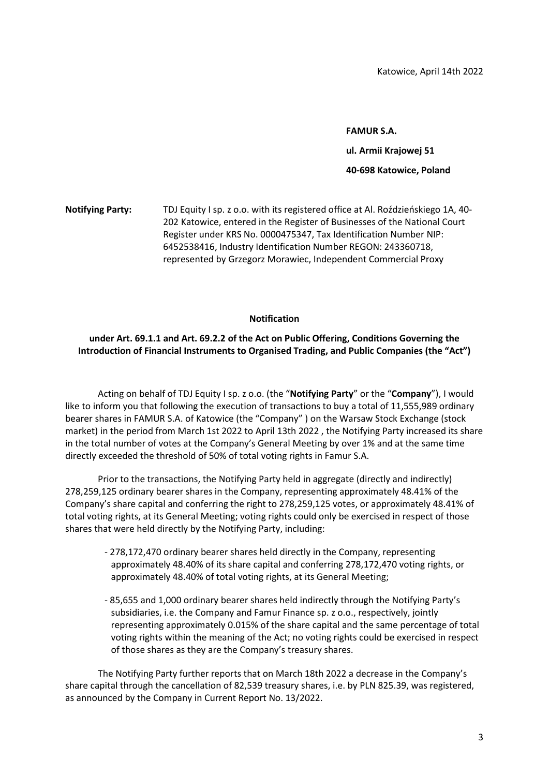### FAMUR S.A.

ul. Armii Krajowej 51

### 40-698 Katowice, Poland

Notifying Party: TDJ Equity I sp. z o.o. with its registered office at Al. Roździeńskiego 1A, 40- 202 Katowice, entered in the Register of Businesses of the National Court Register under KRS No. 0000475347, Tax Identification Number NIP: 6452538416, Industry Identification Number REGON: 243360718, represented by Grzegorz Morawiec, Independent Commercial Proxy

## Notification

# under Art. 69.1.1 and Art. 69.2.2 of the Act on Public Offering, Conditions Governing the Introduction of Financial Instruments to Organised Trading, and Public Companies (the "Act")

Acting on behalf of TDJ Equity I sp. z o.o. (the "Notifying Party" or the "Company"), I would like to inform you that following the execution of transactions to buy a total of 11,555,989 ordinary bearer shares in FAMUR S.A. of Katowice (the "Company" ) on the Warsaw Stock Exchange (stock market) in the period from March 1st 2022 to April 13th 2022 , the Notifying Party increased its share in the total number of votes at the Company's General Meeting by over 1% and at the same time directly exceeded the threshold of 50% of total voting rights in Famur S.A.

Prior to the transactions, the Notifying Party held in aggregate (directly and indirectly) 278,259,125 ordinary bearer shares in the Company, representing approximately 48.41% of the Company's share capital and conferring the right to 278,259,125 votes, or approximately 48.41% of total voting rights, at its General Meeting; voting rights could only be exercised in respect of those shares that were held directly by the Notifying Party, including:

- 278,172,470 ordinary bearer shares held directly in the Company, representing approximately 48.40% of its share capital and conferring 278,172,470 voting rights, or approximately 48.40% of total voting rights, at its General Meeting;
- 85,655 and 1,000 ordinary bearer shares held indirectly through the Notifying Party's subsidiaries, i.e. the Company and Famur Finance sp. z o.o., respectively, jointly representing approximately 0.015% of the share capital and the same percentage of total voting rights within the meaning of the Act; no voting rights could be exercised in respect of those shares as they are the Company's treasury shares.

The Notifying Party further reports that on March 18th 2022 a decrease in the Company's share capital through the cancellation of 82,539 treasury shares, i.e. by PLN 825.39, was registered, as announced by the Company in Current Report No. 13/2022.